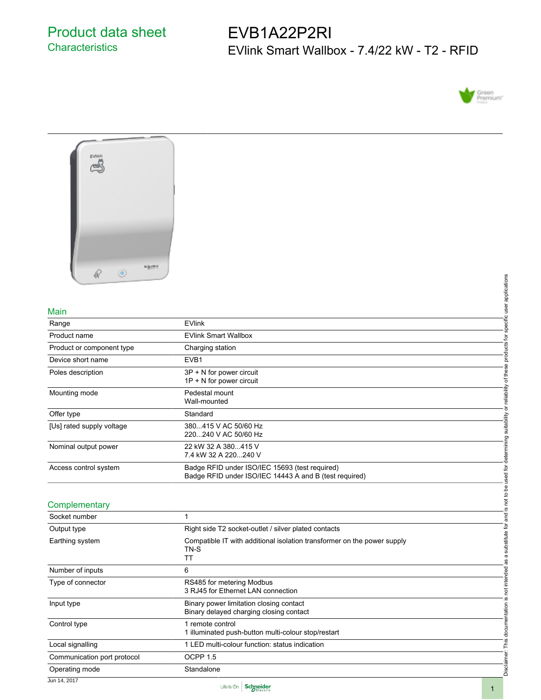# EVB1A22P2RI EVlink Smart Wallbox - 7.4/22 kW - T2 - RFID





#### Main

| Main                      |                                                                                                          | use         |
|---------------------------|----------------------------------------------------------------------------------------------------------|-------------|
| Range                     | <b>EVlink</b>                                                                                            | specific    |
| Product name              | <b>EVlink Smart Wallbox</b>                                                                              | ʻ₫          |
| Product or component type | Charging station                                                                                         | oducts      |
| Device short name         | EVB1                                                                                                     | ਠ           |
| Poles description         | 3P + N for power circuit<br>$1P + N$ for power circuit                                                   | of thes     |
| Mounting mode             | Pedestal mount<br>Wall-mounted                                                                           | reliabilit  |
| Offer type                | Standard                                                                                                 | ់ត          |
| [Us] rated supply voltage | 380415 V AC 50/60 Hz<br>220240 V AC 50/60 Hz                                                             | suitability |
| Nominal output power      | 22 kW 32 A 380415 V<br>7.4 kW 32 A 220240 V                                                              | determining |
| Access control system     | Badge RFID under ISO/IEC 15693 (test required)<br>Badge RFID under ISO/IEC 14443 A and B (test required) | sed for     |

## **Complementary**

| থা                          |                                                                                                          |                                                |
|-----------------------------|----------------------------------------------------------------------------------------------------------|------------------------------------------------|
|                             |                                                                                                          |                                                |
|                             |                                                                                                          | specific user applications                     |
| Main                        |                                                                                                          |                                                |
| Range                       | <b>EVlink</b>                                                                                            |                                                |
| Product name                | <b>EVlink Smart Wallbox</b>                                                                              |                                                |
| Product or component type   | Charging station                                                                                         |                                                |
| Device short name           | EVB1                                                                                                     |                                                |
| Poles description           | 3P + N for power circuit<br>1P + N for power circuit                                                     | or reliability of these products for           |
| Mounting mode               | Pedestal mount<br>Wall-mounted                                                                           |                                                |
| Offer type                  | Standard                                                                                                 |                                                |
| [Us] rated supply voltage   | 380415 V AC 50/60 Hz<br>220240 V AC 50/60 Hz                                                             | determining suitability                        |
| Nominal output power        | 22 kW 32 A 380415 V<br>7.4 kW 32 A 220240 V                                                              |                                                |
| Access control system       | Badge RFID under ISO/IEC 15693 (test required)<br>Badge RFID under ISO/IEC 14443 A and B (test required) | not to be used for                             |
|                             |                                                                                                          |                                                |
| Complementary               |                                                                                                          | <u>(v</u>                                      |
| Socket number               | $\mathbf{1}$                                                                                             |                                                |
| Output type                 | Right side T2 socket-outlet / silver plated contacts                                                     |                                                |
| Earthing system             | Compatible IT with additional isolation transformer on the power supply<br>TN-S<br>TT                    | a substitute for and<br>as                     |
| Number of inputs            | 6                                                                                                        |                                                |
| Type of connector           | RS485 for metering Modbus<br>3 RJ45 for Ethernet LAN connection                                          |                                                |
| Input type                  | Binary power limitation closing contact<br>Binary delayed charging closing contact                       |                                                |
| Control type                | 1 remote control<br>1 illuminated push-button multi-colour stop/restart                                  | Disclaimer: This documentation is not intended |
| Local signalling            | 1 LED multi-colour function: status indication                                                           |                                                |
| Communication port protocol | OCPP 1.5                                                                                                 |                                                |
| Operating mode              | Standalone                                                                                               |                                                |
| Jun 14, 2017                | والمتحاط المتحا                                                                                          |                                                |